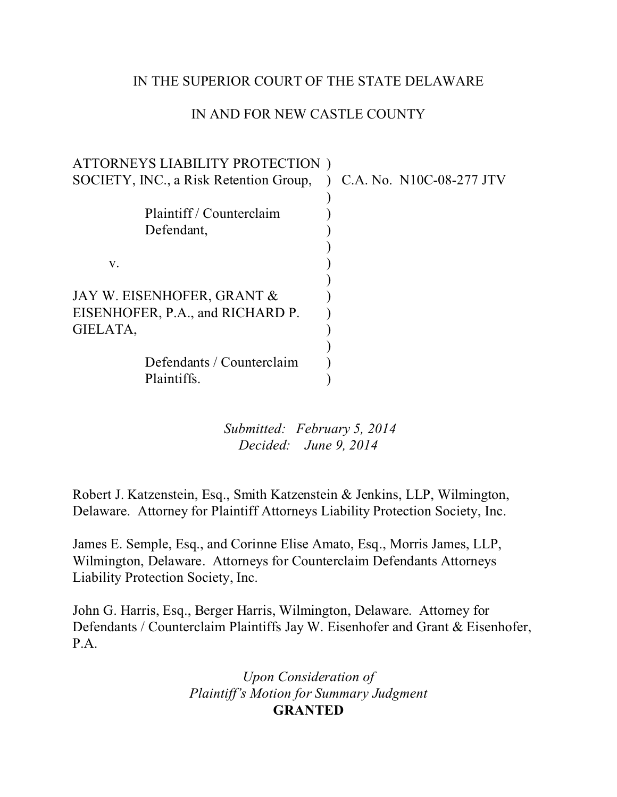## IN THE SUPERIOR COURT OF THE STATE DELAWARE

# IN AND FOR NEW CASTLE COUNTY

| ATTORNEYS LIABILITY PROTECTION)        |                          |
|----------------------------------------|--------------------------|
| SOCIETY, INC., a Risk Retention Group, | C.A. No. N10C-08-277 JTV |
|                                        |                          |
| Plaintiff/Counterclaim                 |                          |
| Defendant,                             |                          |
|                                        |                          |
| V.                                     |                          |
|                                        |                          |
| JAY W. EISENHOFER, GRANT &             |                          |
| EISENHOFER, P.A., and RICHARD P.       |                          |
| GIELATA,                               |                          |
|                                        |                          |
| Defendants / Counterclaim              |                          |
| Plaintiffs.                            |                          |
|                                        |                          |

 *Submitted: February 5, 2014 Decided: June 9, 2014*

Robert J. Katzenstein, Esq., Smith Katzenstein & Jenkins, LLP, Wilmington, Delaware. Attorney for Plaintiff Attorneys Liability Protection Society, Inc.

James E. Semple, Esq., and Corinne Elise Amato, Esq., Morris James, LLP, Wilmington, Delaware. Attorneys for Counterclaim Defendants Attorneys Liability Protection Society, Inc.

John G. Harris, Esq., Berger Harris, Wilmington, Delaware. Attorney for Defendants / Counterclaim Plaintiffs Jay W. Eisenhofer and Grant & Eisenhofer, P.A.

> *Upon Consideration of Plaintiff's Motion for Summary Judgment* **GRANTED**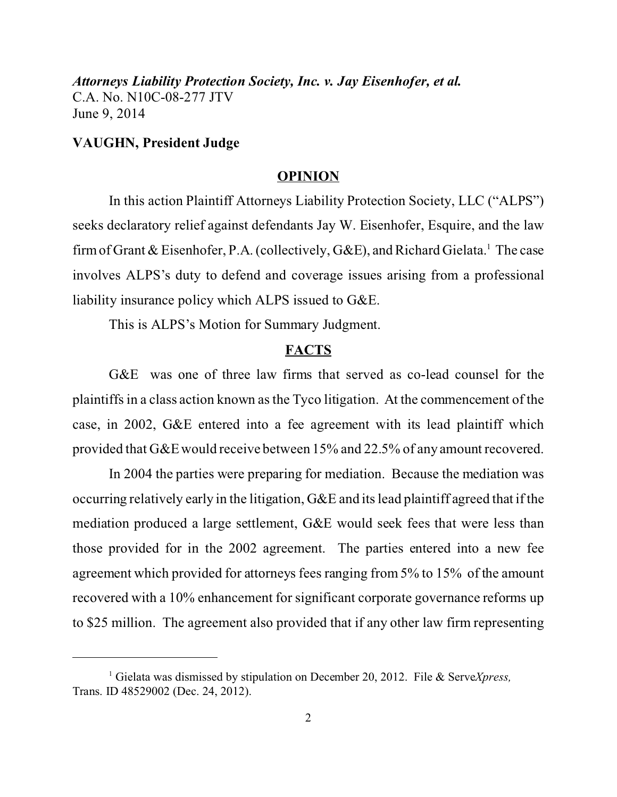### **VAUGHN, President Judge**

#### **OPINION**

In this action Plaintiff Attorneys Liability Protection Society, LLC ("ALPS") seeks declaratory relief against defendants Jay W. Eisenhofer, Esquire, and the law firm of Grant & Eisenhofer, P.A. (collectively, G&E), and Richard Gielata.<sup>1</sup> The case involves ALPS's duty to defend and coverage issues arising from a professional liability insurance policy which ALPS issued to G&E.

This is ALPS's Motion for Summary Judgment.

### **FACTS**

G&E was one of three law firms that served as co-lead counsel for the plaintiffs in a class action known as the Tyco litigation. At the commencement of the case, in 2002, G&E entered into a fee agreement with its lead plaintiff which provided that G&E would receive between 15% and 22.5% of any amount recovered.

In 2004 the parties were preparing for mediation. Because the mediation was occurring relatively early in the litigation, G&E and its lead plaintiff agreed that if the mediation produced a large settlement, G&E would seek fees that were less than those provided for in the 2002 agreement. The parties entered into a new fee agreement which provided for attorneys fees ranging from 5% to 15% of the amount recovered with a 10% enhancement for significant corporate governance reforms up to \$25 million. The agreement also provided that if any other law firm representing

<sup>1</sup> Gielata was dismissed by stipulation on December 20, 2012. File & Serve*Xpress,* Trans. ID 48529002 (Dec. 24, 2012).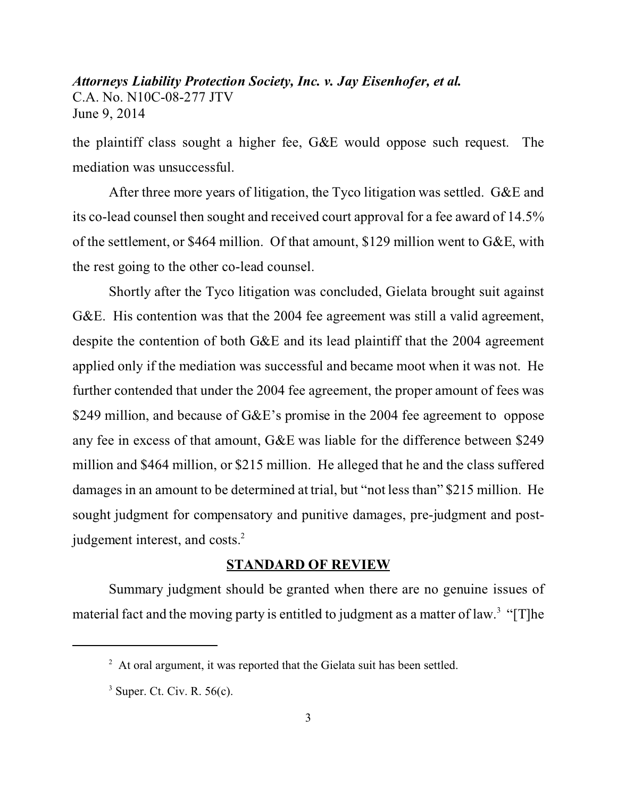the plaintiff class sought a higher fee, G&E would oppose such request. The mediation was unsuccessful.

After three more years of litigation, the Tyco litigation was settled. G&E and its co-lead counsel then sought and received court approval for a fee award of 14.5% of the settlement, or \$464 million. Of that amount, \$129 million went to G&E, with the rest going to the other co-lead counsel.

Shortly after the Tyco litigation was concluded, Gielata brought suit against G&E. His contention was that the 2004 fee agreement was still a valid agreement, despite the contention of both G&E and its lead plaintiff that the 2004 agreement applied only if the mediation was successful and became moot when it was not. He further contended that under the 2004 fee agreement, the proper amount of fees was \$249 million, and because of G&E's promise in the 2004 fee agreement to oppose any fee in excess of that amount, G&E was liable for the difference between \$249 million and \$464 million, or \$215 million. He alleged that he and the class suffered damages in an amount to be determined at trial, but "not less than" \$215 million. He sought judgment for compensatory and punitive damages, pre-judgment and postjudgement interest, and costs.<sup>2</sup>

### **STANDARD OF REVIEW**

Summary judgment should be granted when there are no genuine issues of material fact and the moving party is entitled to judgment as a matter of law.<sup>3</sup> "[T]he

 $2$  At oral argument, it was reported that the Gielata suit has been settled.

 $3$  Super. Ct. Civ. R. 56(c).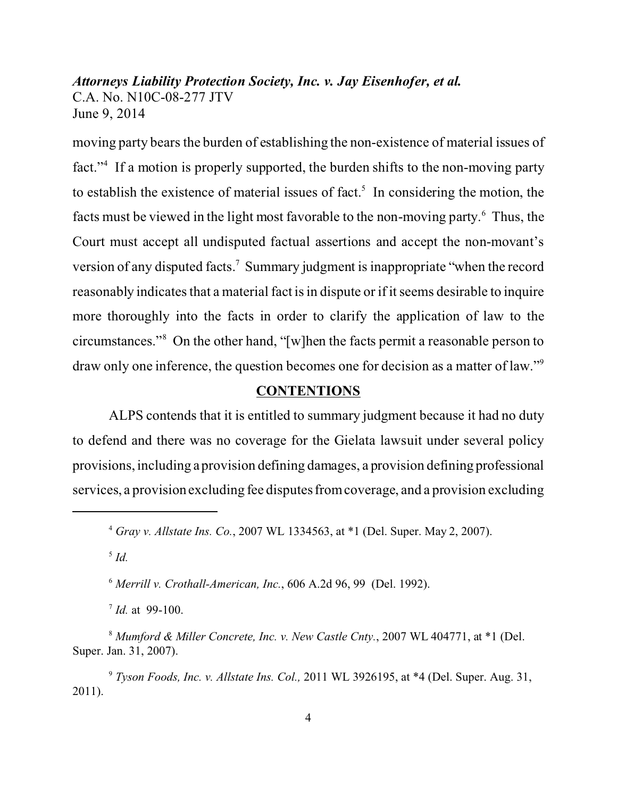moving party bears the burden of establishing the non-existence of material issues of fact."<sup>4</sup> If a motion is properly supported, the burden shifts to the non-moving party to establish the existence of material issues of fact.<sup>5</sup> In considering the motion, the facts must be viewed in the light most favorable to the non-moving party.<sup>6</sup> Thus, the Court must accept all undisputed factual assertions and accept the non-movant's version of any disputed facts.<sup>7</sup> Summary judgment is inappropriate "when the record reasonably indicates that a material fact is in dispute or if it seems desirable to inquire more thoroughly into the facts in order to clarify the application of law to the circumstances."<sup>8</sup> On the other hand, "[w]hen the facts permit a reasonable person to draw only one inference, the question becomes one for decision as a matter of law."<sup>9</sup>

#### **CONTENTIONS**

ALPS contends that it is entitled to summary judgment because it had no duty to defend and there was no coverage for the Gielata lawsuit under several policy provisions, including a provision defining damages, a provision defining professional services, a provision excluding fee disputes from coverage, and a provision excluding

5  *Id.*

7 *Id.* at 99-100.

<sup>4</sup>  *Gray v. Allstate Ins. Co.*, 2007 WL 1334563, at \*1 (Del. Super. May 2, 2007).

<sup>6</sup> *Merrill v. Crothall-American, Inc.*, 606 A.2d 96, 99 (Del. 1992).

<sup>8</sup>  *Mumford & Miller Concrete, Inc. v. New Castle Cnty.*, 2007 WL 404771, at \*1 (Del. Super. Jan. 31, 2007).

<sup>9</sup> *Tyson Foods, Inc. v. Allstate Ins. Col.,* 2011 WL 3926195, at \*4 (Del. Super. Aug. 31, 2011).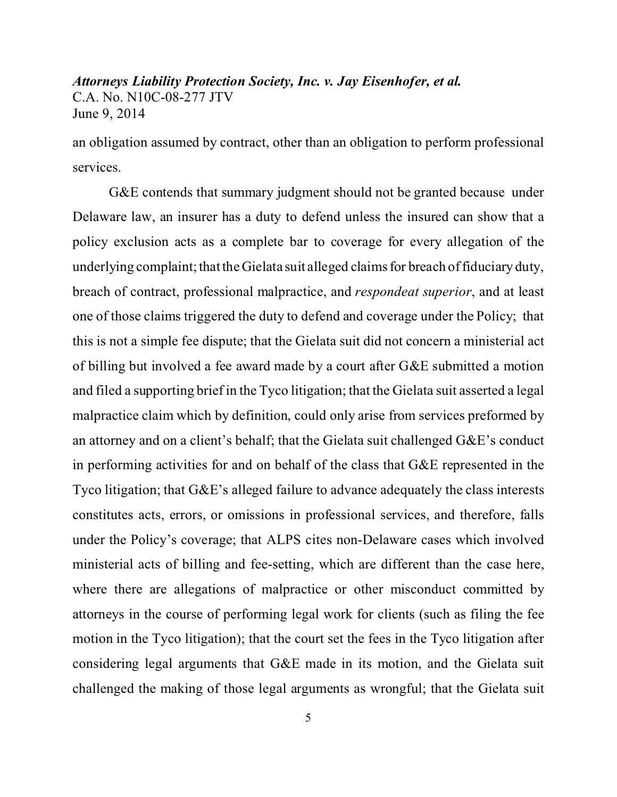an obligation assumed by contract, other than an obligation to perform professional services.

G&E contends that summary judgment should not be granted because under Delaware law, an insurer has a duty to defend unless the insured can show that a policy exclusion acts as a complete bar to coverage for every allegation of the underlying complaint; that the Gielata suit alleged claims for breach of fiduciary duty, breach of contract, professional malpractice, and *respondeat superior*, and at least one of those claims triggered the duty to defend and coverage under the Policy; that this is not a simple fee dispute; that the Gielata suit did not concern a ministerial act of billing but involved a fee award made by a court after G&E submitted a motion and filed a supporting brief in the Tyco litigation; that the Gielata suit asserted a legal malpractice claim which by definition, could only arise from services preformed by an attorney and on a client's behalf; that the Gielata suit challenged G&E's conduct in performing activities for and on behalf of the class that G&E represented in the Tyco litigation; that G&E's alleged failure to advance adequately the class interests constitutes acts, errors, or omissions in professional services, and therefore, falls under the Policy's coverage; that ALPS cites non-Delaware cases which involved ministerial acts of billing and fee-setting, which are different than the case here, where there are allegations of malpractice or other misconduct committed by attorneys in the course of performing legal work for clients (such as filing the fee motion in the Tyco litigation); that the court set the fees in the Tyco litigation after considering legal arguments that G&E made in its motion, and the Gielata suit challenged the making of those legal arguments as wrongful; that the Gielata suit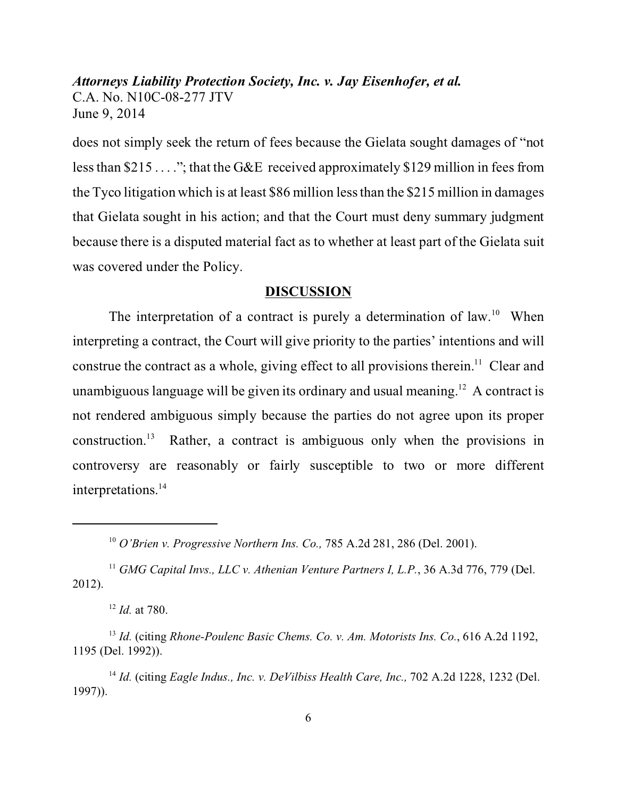does not simply seek the return of fees because the Gielata sought damages of "not less than \$215 . . . ."; that the G&E received approximately \$129 million in fees from the Tyco litigation which is at least \$86 million less than the \$215 million in damages that Gielata sought in his action; and that the Court must deny summary judgment because there is a disputed material fact as to whether at least part of the Gielata suit was covered under the Policy.

#### **DISCUSSION**

The interpretation of a contract is purely a determination of  $law<sup>10</sup>$ . When interpreting a contract, the Court will give priority to the parties' intentions and will construe the contract as a whole, giving effect to all provisions therein.<sup>11</sup> Clear and unambiguous language will be given its ordinary and usual meaning.<sup>12</sup> A contract is not rendered ambiguous simply because the parties do not agree upon its proper construction.<sup>13</sup> Rather, a contract is ambiguous only when the provisions in controversy are reasonably or fairly susceptible to two or more different interpretations. 14

<sup>10</sup> *O'Brien v. Progressive Northern Ins. Co.,* 785 A.2d 281, 286 (Del. 2001).

<sup>&</sup>lt;sup>11</sup> GMG Capital Invs., LLC v. Athenian Venture Partners I, L.P., 36 A.3d 776, 779 (Del. 2012).

<sup>12</sup> *Id.* at 780.

<sup>13</sup> *Id.* (citing *Rhone-Poulenc Basic Chems. Co. v. Am. Motorists Ins. Co.*, 616 A.2d 1192, 1195 (Del. 1992)).

<sup>&</sup>lt;sup>14</sup> *Id.* (citing *Eagle Indus., Inc. v. DeVilbiss Health Care, Inc., 702 A.2d 1228, 1232 (Del.* 1997)).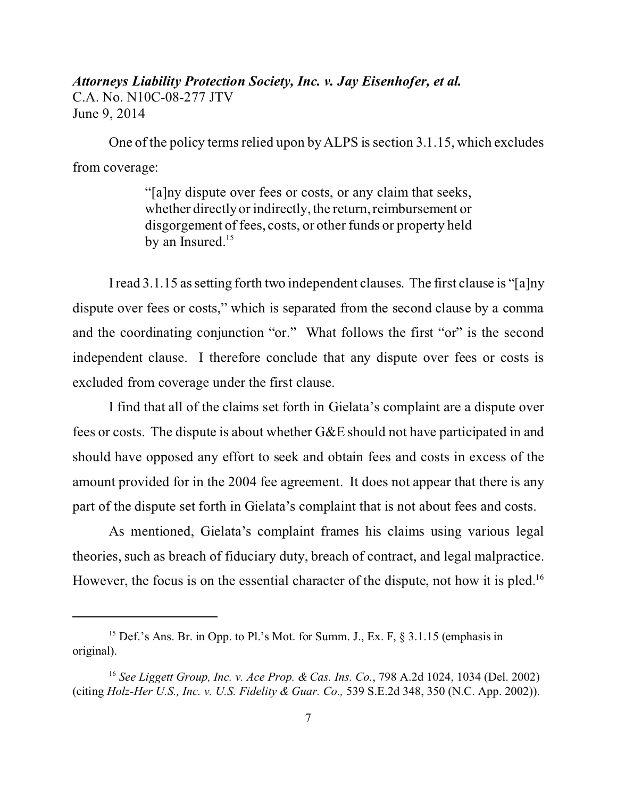One of the policy terms relied upon by ALPS is section 3.1.15, which excludes from coverage:

> "[a]ny dispute over fees or costs, or any claim that seeks, whether directly or indirectly, the return, reimbursement or disgorgement of fees, costs, or other funds or property held by an Insured.<sup>15</sup>

I read 3.1.15 as setting forth two independent clauses. The first clause is "[a]ny dispute over fees or costs," which is separated from the second clause by a comma and the coordinating conjunction "or." What follows the first "or" is the second independent clause. I therefore conclude that any dispute over fees or costs is excluded from coverage under the first clause.

I find that all of the claims set forth in Gielata's complaint are a dispute over fees or costs. The dispute is about whether G&E should not have participated in and should have opposed any effort to seek and obtain fees and costs in excess of the amount provided for in the 2004 fee agreement. It does not appear that there is any part of the dispute set forth in Gielata's complaint that is not about fees and costs.

As mentioned, Gielata's complaint frames his claims using various legal theories, such as breach of fiduciary duty, breach of contract, and legal malpractice. However, the focus is on the essential character of the dispute, not how it is pled.<sup>16</sup>

<sup>&</sup>lt;sup>15</sup> Def.'s Ans. Br. in Opp. to Pl.'s Mot. for Summ. J., Ex. F,  $\S$  3.1.15 (emphasis in original).

<sup>16</sup> *See Liggett Group, Inc. v. Ace Prop. & Cas. Ins. Co.*, 798 A.2d 1024, 1034 (Del. 2002) (citing *Holz-Her U.S., Inc. v. U.S. Fidelity & Guar. Co.,* 539 S.E.2d 348, 350 (N.C. App. 2002)).